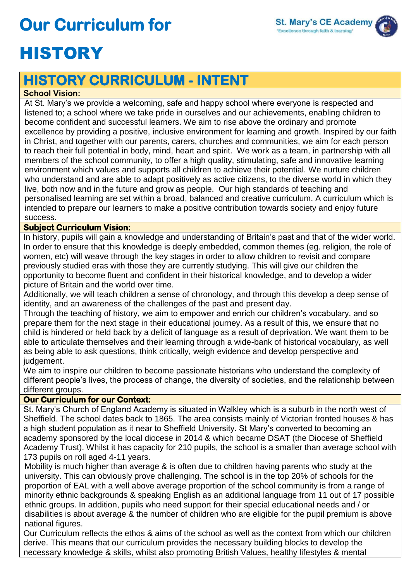# **Our Curriculum for**



### **HISTORY CURRICULUM - INTENT**

#### **School Vision:**

At St. Mary's we provide a welcoming, safe and happy school where everyone is respected and listened to; a school where we take pride in ourselves and our achievements, enabling children to become confident and successful learners. We aim to rise above the ordinary and promote excellence by providing a positive, inclusive environment for learning and growth. Inspired by our faith in Christ, and together with our parents, carers, churches and communities, we aim for each person to reach their full potential in body, mind, heart and spirit. We work as a team, in partnership with all members of the school community, to offer a high quality, stimulating, safe and innovative learning environment which values and supports all children to achieve their potential. We nurture children who understand and are able to adapt positively as active citizens, to the diverse world in which they live, both now and in the future and grow as people. Our high standards of teaching and personalised learning are set within a broad, balanced and creative curriculum. A curriculum which is intended to prepare our learners to make a positive contribution towards society and enjoy future success.

#### **Subject Curriculum Vision:**

In history, pupils will gain a knowledge and understanding of Britain's past and that of the wider world. In order to ensure that this knowledge is deeply embedded, common themes (eg. religion, the role of women, etc) will weave through the key stages in order to allow children to revisit and compare previously studied eras with those they are currently studying. This will give our children the opportunity to become fluent and confident in their historical knowledge, and to develop a wider picture of Britain and the world over time.

Additionally, we will teach children a sense of chronology, and through this develop a deep sense of identity, and an awareness of the challenges of the past and present day.

Through the teaching of history, we aim to empower and enrich our children's vocabulary, and so prepare them for the next stage in their educational journey. As a result of this, we ensure that no child is hindered or held back by a deficit of language as a result of deprivation. We want them to be able to articulate themselves and their learning through a wide-bank of historical vocabulary, as well as being able to ask questions, think critically, weigh evidence and develop perspective and judgement.

We aim to inspire our children to become passionate historians who understand the complexity of different people's lives, the process of change, the diversity of societies, and the relationship between different groups.

#### **Our Curriculum for our Context:**

St. Mary's Church of England Academy is situated in Walkley which is a suburb in the north west of Sheffield. The school dates back to 1865. The area consists mainly of Victorian fronted houses & has a high student population as it near to Sheffield University. St Mary's converted to becoming an academy sponsored by the local diocese in 2014 & which became DSAT (the Diocese of Sheffield Academy Trust). Whilst it has capacity for 210 pupils, the school is a smaller than average school with 173 pupils on roll aged 4-11 years.

Mobility is much higher than average & is often due to children having parents who study at the university. This can obviously prove challenging. The school is in the top 20% of schools for the proportion of EAL with a well above average proportion of the school community is from a range of minority ethnic backgrounds & speaking English as an additional language from 11 out of 17 possible ethnic groups. In addition, pupils who need support for their special educational needs and / or disabilities is about average & the number of children who are eligible for the pupil premium is above national figures.

Our Curriculum reflects the ethos & aims of the school as well as the context from which our children derive. This means that our curriculum provides the necessary building blocks to develop the necessary knowledge & skills, whilst also promoting British Values, healthy lifestyles & mental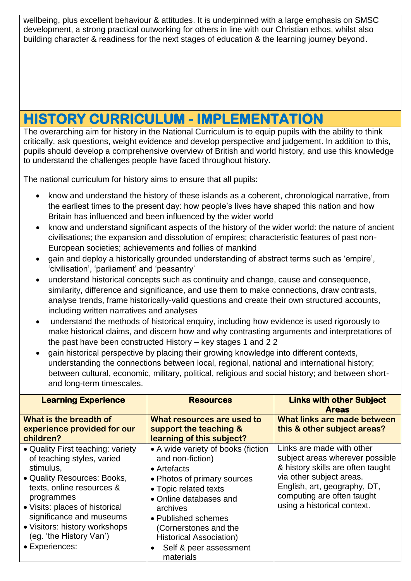wellbeing, plus excellent behaviour & attitudes. It is underpinned with a large emphasis on SMSC development, a strong practical outworking for others in line with our Christian ethos, whilst also building character & readiness for the next stages of education & the learning journey beyond.

### **HISTORY CURRICULUM - IMPLEMENTATION**

The overarching aim for history in the National Curriculum is to equip pupils with the ability to think critically, ask questions, weight evidence and develop perspective and judgement. In addition to this, pupils should develop a comprehensive overview of British and world history, and use this knowledge to understand the challenges people have faced throughout history.

The national curriculum for history aims to ensure that all pupils:

- know and understand the history of these islands as a coherent, chronological narrative, from the earliest times to the present day: how people's lives have shaped this nation and how Britain has influenced and been influenced by the wider world
- know and understand significant aspects of the history of the wider world: the nature of ancient civilisations; the expansion and dissolution of empires; characteristic features of past non-European societies; achievements and follies of mankind
- gain and deploy a historically grounded understanding of abstract terms such as 'empire', 'civilisation', 'parliament' and 'peasantry'
- understand historical concepts such as continuity and change, cause and consequence, similarity, difference and significance, and use them to make connections, draw contrasts, analyse trends, frame historically-valid questions and create their own structured accounts, including written narratives and analyses
- understand the methods of historical enquiry, including how evidence is used rigorously to make historical claims, and discern how and why contrasting arguments and interpretations of the past have been constructed History – key stages 1 and 2 2
- gain historical perspective by placing their growing knowledge into different contexts, understanding the connections between local, regional, national and international history; between cultural, economic, military, political, religious and social history; and between shortand long-term timescales.

| <b>Learning Experience</b>                                                                                                                                                                                                                                                                         | <b>Resources</b>                                                                                                                                                                                                                                                                             | <b>Links with other Subject</b><br><b>Areas</b>                                                                                                                                                                            |  |  |
|----------------------------------------------------------------------------------------------------------------------------------------------------------------------------------------------------------------------------------------------------------------------------------------------------|----------------------------------------------------------------------------------------------------------------------------------------------------------------------------------------------------------------------------------------------------------------------------------------------|----------------------------------------------------------------------------------------------------------------------------------------------------------------------------------------------------------------------------|--|--|
| What is the breadth of<br>experience provided for our<br>children?                                                                                                                                                                                                                                 | What resources are used to<br>support the teaching &<br>learning of this subject?                                                                                                                                                                                                            | What links are made between<br>this & other subject areas?                                                                                                                                                                 |  |  |
| • Quality First teaching: variety<br>of teaching styles, varied<br>stimulus,<br>• Quality Resources: Books,<br>texts, online resources &<br>programmes<br>• Visits: places of historical<br>significance and museums<br>• Visitors: history workshops<br>(eg. 'the History Van')<br>• Experiences: | • A wide variety of books (fiction<br>and non-fiction)<br>• Artefacts<br>• Photos of primary sources<br>• Topic related texts<br>• Online databases and<br>archives<br>• Published schemes<br>(Cornerstones and the<br><b>Historical Association)</b><br>Self & peer assessment<br>materials | Links are made with other<br>subject areas wherever possible<br>& history skills are often taught<br>via other subject areas.<br>English, art, geography, DT,<br>computing are often taught<br>using a historical context. |  |  |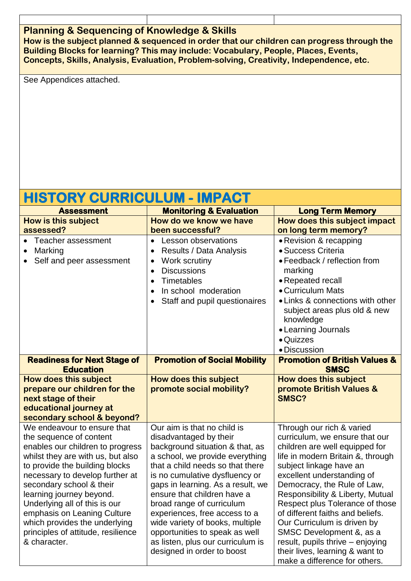#### **Planning & Sequencing of Knowledge & Skills**

**How is the subject planned & sequenced in order that our children can progress through the Building Blocks for learning? This may include: Vocabulary, People, Places, Events, Concepts, Skills, Analysis, Evaluation, Problem-solving, Creativity, Independence, etc.** 

See Appendices attached.

### **HISTORY CURRICULUM - IMPACT**

| <b>Assessment</b>                                                                                                                                                                                                                                                                                                                                                                                                   | <b>Monitoring &amp; Evaluation</b>                                                                                                                                                                                                                                                                                                                                                                                                                                          | <b>Long Term Memory</b>                                                                                                                                                                                                                                                                                                                                                                                                                                                                                  |  |
|---------------------------------------------------------------------------------------------------------------------------------------------------------------------------------------------------------------------------------------------------------------------------------------------------------------------------------------------------------------------------------------------------------------------|-----------------------------------------------------------------------------------------------------------------------------------------------------------------------------------------------------------------------------------------------------------------------------------------------------------------------------------------------------------------------------------------------------------------------------------------------------------------------------|----------------------------------------------------------------------------------------------------------------------------------------------------------------------------------------------------------------------------------------------------------------------------------------------------------------------------------------------------------------------------------------------------------------------------------------------------------------------------------------------------------|--|
| <b>How is this subject</b>                                                                                                                                                                                                                                                                                                                                                                                          | How do we know we have                                                                                                                                                                                                                                                                                                                                                                                                                                                      | How does this subject impact                                                                                                                                                                                                                                                                                                                                                                                                                                                                             |  |
| assessed?                                                                                                                                                                                                                                                                                                                                                                                                           | been successful?                                                                                                                                                                                                                                                                                                                                                                                                                                                            | on long term memory?                                                                                                                                                                                                                                                                                                                                                                                                                                                                                     |  |
| Teacher assessment<br>Marking<br>Self and peer assessment                                                                                                                                                                                                                                                                                                                                                           | <b>Lesson observations</b><br>$\bullet$<br><b>Results / Data Analysis</b><br>$\bullet$<br>Work scrutiny<br>$\bullet$<br><b>Discussions</b><br>$\bullet$<br>Timetables<br>$\bullet$<br>In school moderation<br>$\bullet$<br>Staff and pupil questionaires<br>$\bullet$                                                                                                                                                                                                       | • Revision & recapping<br>· Success Criteria<br>• Feedback / reflection from<br>marking<br>• Repeated recall<br>• Curriculum Mats<br>• Links & connections with other<br>subject areas plus old & new<br>knowledge<br>• Learning Journals<br>• Quizzes<br>• Discussion                                                                                                                                                                                                                                   |  |
| <b>Readiness for Next Stage of</b><br><b>Education</b>                                                                                                                                                                                                                                                                                                                                                              | <b>Promotion of Social Mobility</b>                                                                                                                                                                                                                                                                                                                                                                                                                                         | <b>Promotion of British Values &amp;</b><br><b>SMSC</b>                                                                                                                                                                                                                                                                                                                                                                                                                                                  |  |
| How does this subject<br>prepare our children for the<br>next stage of their<br>educational journey at<br>secondary school & beyond?                                                                                                                                                                                                                                                                                | How does this subject<br>promote social mobility?                                                                                                                                                                                                                                                                                                                                                                                                                           | How does this subject<br>promote British Values &<br>SMSC?                                                                                                                                                                                                                                                                                                                                                                                                                                               |  |
| We endeavour to ensure that<br>the sequence of content<br>enables our children to progress<br>whilst they are with us, but also<br>to provide the building blocks<br>necessary to develop further at<br>secondary school & their<br>learning journey beyond.<br>Underlying all of this is our<br>emphasis on Leaning Culture<br>which provides the underlying<br>principles of attitude, resilience<br>& character. | Our aim is that no child is<br>disadvantaged by their<br>background situation & that, as<br>a school, we provide everything<br>that a child needs so that there<br>is no cumulative dysfluency or<br>gaps in learning. As a result, we<br>ensure that children have a<br>broad range of curriculum<br>experiences, free access to a<br>wide variety of books, multiple<br>opportunities to speak as well<br>as listen, plus our curriculum is<br>designed in order to boost | Through our rich & varied<br>curriculum, we ensure that our<br>children are well equipped for<br>life in modern Britain &, through<br>subject linkage have an<br>excellent understanding of<br>Democracy, the Rule of Law,<br>Responsibility & Liberty, Mutual<br>Respect plus Tolerance of those<br>of different faiths and beliefs.<br>Our Curriculum is driven by<br>SMSC Development &, as a<br>result, pupils thrive - enjoying<br>their lives, learning & want to<br>make a difference for others. |  |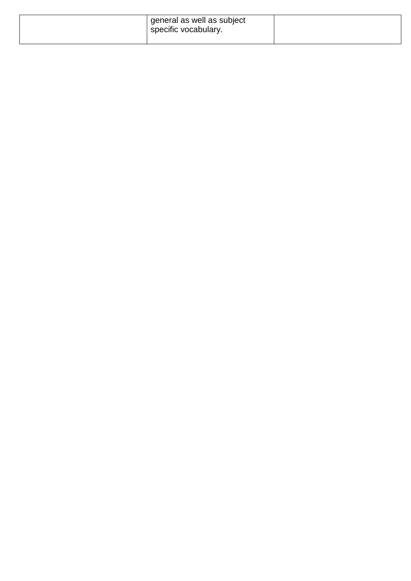| general as well as subject<br>specific vocabulary. |  |
|----------------------------------------------------|--|
|                                                    |  |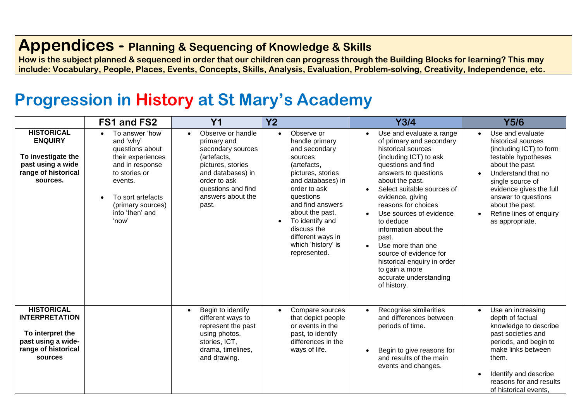### **Appendices - Planning & Sequencing of Knowledge & Skills**

**How is the subject planned & sequenced in order that our children can progress through the Building Blocks for learning? This may include: Vocabulary, People, Places, Events, Concepts, Skills, Analysis, Evaluation, Problem-solving, Creativity, Independence, etc.**

## **Progression in History at St Mary's Academy**

|                                                                                                                        | FS1 and FS2                                                                                                                                                                               | Y <sub>1</sub>                                                                                                                                                                     | <b>Y2</b>                                                                                                                                                                                                                                                                          | Y3/4                                                                                                                                                                                                                                                                                                                                                                                                                                                              | <b>Y5/6</b>                                                                                                                                                                                                                                                                           |
|------------------------------------------------------------------------------------------------------------------------|-------------------------------------------------------------------------------------------------------------------------------------------------------------------------------------------|------------------------------------------------------------------------------------------------------------------------------------------------------------------------------------|------------------------------------------------------------------------------------------------------------------------------------------------------------------------------------------------------------------------------------------------------------------------------------|-------------------------------------------------------------------------------------------------------------------------------------------------------------------------------------------------------------------------------------------------------------------------------------------------------------------------------------------------------------------------------------------------------------------------------------------------------------------|---------------------------------------------------------------------------------------------------------------------------------------------------------------------------------------------------------------------------------------------------------------------------------------|
| <b>HISTORICAL</b><br><b>ENQUIRY</b><br>To investigate the<br>past using a wide<br>range of historical<br>sources.      | To answer 'how'<br>and 'why'<br>questions about<br>their experiences<br>and in response<br>to stories or<br>events.<br>To sort artefacts<br>(primary sources)<br>into 'then' and<br>'now' | Observe or handle<br>primary and<br>secondary sources<br>(artefacts,<br>pictures, stories<br>and databases) in<br>order to ask<br>questions and find<br>answers about the<br>past. | Observe or<br>handle primary<br>and secondary<br>sources<br>(artefacts,<br>pictures, stories<br>and databases) in<br>order to ask<br>questions<br>and find answers<br>about the past.<br>To identify and<br>discuss the<br>different ways in<br>which 'history' is<br>represented. | Use and evaluate a range<br>of primary and secondary<br>historical sources<br>(including ICT) to ask<br>questions and find<br>answers to questions<br>about the past.<br>Select suitable sources of<br>evidence, giving<br>reasons for choices<br>Use sources of evidence<br>to deduce<br>information about the<br>past.<br>Use more than one<br>source of evidence for<br>historical enquiry in order<br>to gain a more<br>accurate understanding<br>of history. | Use and evaluate<br>$\bullet$<br>historical sources<br>(including ICT) to form<br>testable hypotheses<br>about the past.<br>Understand that no<br>single source of<br>evidence gives the full<br>answer to questions<br>about the past.<br>Refine lines of enquiry<br>as appropriate. |
| <b>HISTORICAL</b><br><b>INTERPRETATION</b><br>To interpret the<br>past using a wide-<br>range of historical<br>sources |                                                                                                                                                                                           | Begin to identify<br>different ways to<br>represent the past<br>using photos,<br>stories, ICT,<br>drama, timelines,<br>and drawing.                                                | Compare sources<br>that depict people<br>or events in the<br>past, to identify<br>differences in the<br>ways of life.                                                                                                                                                              | Recognise similarities<br>and differences between<br>periods of time.<br>Begin to give reasons for<br>and results of the main<br>events and changes.                                                                                                                                                                                                                                                                                                              | Use an increasing<br>$\bullet$<br>depth of factual<br>knowledge to describe<br>past societies and<br>periods, and begin to<br>make links between<br>them.<br>Identify and describe<br>reasons for and results<br>of historical events.                                                |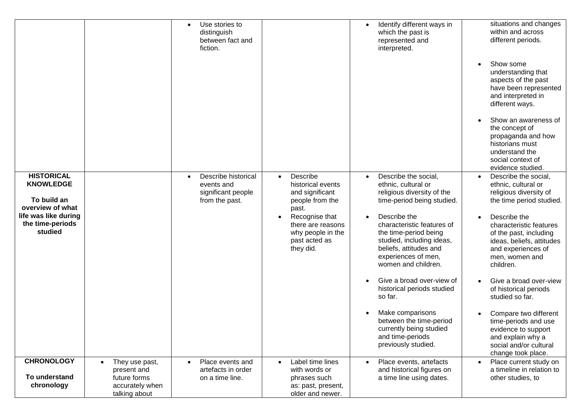|                                                                                                                                 |                                                                                   | Use stories to<br>distinguish<br>between fact and<br>fiction.             |                                                                                                                                                                                     | Identify different ways in<br>which the past is<br>represented and<br>interpreted.                                                                                                                                                                                                               | situations and changes<br>within and across<br>different periods.<br>Show some<br>understanding that<br>aspects of the past<br>have been represented<br>and interpreted in<br>different ways.<br>Show an awareness of<br>the concept of<br>propaganda and how<br>historians must<br>understand the<br>social context of<br>evidence studied. |
|---------------------------------------------------------------------------------------------------------------------------------|-----------------------------------------------------------------------------------|---------------------------------------------------------------------------|-------------------------------------------------------------------------------------------------------------------------------------------------------------------------------------|--------------------------------------------------------------------------------------------------------------------------------------------------------------------------------------------------------------------------------------------------------------------------------------------------|----------------------------------------------------------------------------------------------------------------------------------------------------------------------------------------------------------------------------------------------------------------------------------------------------------------------------------------------|
| <b>HISTORICAL</b><br><b>KNOWLEDGE</b><br>To build an<br>overview of what<br>life was like during<br>the time-periods<br>studied |                                                                                   | Describe historical<br>events and<br>significant people<br>from the past. | Describe<br>$\bullet$<br>historical events<br>and significant<br>people from the<br>past.<br>Recognise that<br>there are reasons<br>why people in the<br>past acted as<br>they did. | Describe the social,<br>$\bullet$<br>ethnic, cultural or<br>religious diversity of the<br>time-period being studied.<br>Describe the<br>characteristic features of<br>the time-period being<br>studied, including ideas,<br>beliefs, attitudes and<br>experiences of men,<br>women and children. | Describe the social,<br>ethnic, cultural or<br>religious diversity of<br>the time period studied.<br>Describe the<br>characteristic features<br>of the past, including<br>ideas, beliefs, attitudes<br>and experiences of<br>men, women and<br>children.                                                                                     |
|                                                                                                                                 |                                                                                   |                                                                           |                                                                                                                                                                                     | Give a broad over-view of<br>historical periods studied<br>so far.                                                                                                                                                                                                                               | Give a broad over-view<br>of historical periods<br>studied so far.                                                                                                                                                                                                                                                                           |
|                                                                                                                                 |                                                                                   |                                                                           |                                                                                                                                                                                     | Make comparisons<br>between the time-period<br>currently being studied<br>and time-periods<br>previously studied.                                                                                                                                                                                | Compare two different<br>time-periods and use<br>evidence to support<br>and explain why a<br>social and/or cultural<br>change took place.                                                                                                                                                                                                    |
| <b>CHRONOLOGY</b><br>To understand<br>chronology                                                                                | They use past,<br>present and<br>future forms<br>accurately when<br>talking about | Place events and<br>artefacts in order<br>on a time line.                 | Label time lines<br>with words or<br>phrases such<br>as: past, present,<br>older and newer.                                                                                         | Place events, artefacts<br>and historical figures on<br>a time line using dates.                                                                                                                                                                                                                 | Place current study on<br>a timeline in relation to<br>other studies, to                                                                                                                                                                                                                                                                     |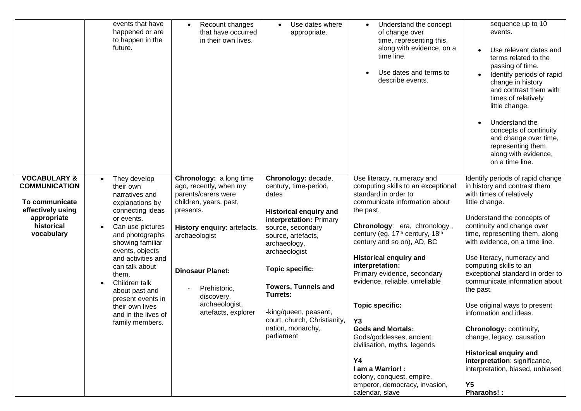|                                                                                                                                   | events that have<br>happened or are<br>to happen in the<br>future.                                                                                                                                                                                                                                                                                   | Recount changes<br>that have occurred<br>in their own lives.                                                                                                                                                                                                      | Use dates where<br>appropriate.                                                                                                                                                                                                                                                                                                                               | Understand the concept<br>of change over<br>time, representing this,<br>along with evidence, on a<br>time line.<br>Use dates and terms to<br>describe events.                                                                                                                                                                                                                                                                                                                                                                                                                                                     | sequence up to 10<br>events.<br>Use relevant dates and<br>terms related to the<br>passing of time.<br>Identify periods of rapid<br>change in history<br>and contrast them with<br>times of relatively<br>little change.<br>Understand the<br>concepts of continuity<br>and change over time,<br>representing them,<br>along with evidence,<br>on a time line.                                                                                                                                                                                                                                                                                    |
|-----------------------------------------------------------------------------------------------------------------------------------|------------------------------------------------------------------------------------------------------------------------------------------------------------------------------------------------------------------------------------------------------------------------------------------------------------------------------------------------------|-------------------------------------------------------------------------------------------------------------------------------------------------------------------------------------------------------------------------------------------------------------------|---------------------------------------------------------------------------------------------------------------------------------------------------------------------------------------------------------------------------------------------------------------------------------------------------------------------------------------------------------------|-------------------------------------------------------------------------------------------------------------------------------------------------------------------------------------------------------------------------------------------------------------------------------------------------------------------------------------------------------------------------------------------------------------------------------------------------------------------------------------------------------------------------------------------------------------------------------------------------------------------|--------------------------------------------------------------------------------------------------------------------------------------------------------------------------------------------------------------------------------------------------------------------------------------------------------------------------------------------------------------------------------------------------------------------------------------------------------------------------------------------------------------------------------------------------------------------------------------------------------------------------------------------------|
| <b>VOCABULARY &amp;</b><br><b>COMMUNICATION</b><br>To communicate<br>effectively using<br>appropriate<br>historical<br>vocabulary | They develop<br>their own<br>narratives and<br>explanations by<br>connecting ideas<br>or events.<br>Can use pictures<br>and photographs<br>showing familiar<br>events, objects<br>and activities and<br>can talk about<br>them.<br>Children talk<br>about past and<br>present events in<br>their own lives<br>and in the lives of<br>family members. | Chronology: a long time<br>ago, recently, when my<br>parents/carers were<br>children, years, past,<br>presents.<br>History enquiry: artefacts,<br>archaeologist<br><b>Dinosaur Planet:</b><br>Prehistoric,<br>discovery,<br>archaeologist,<br>artefacts, explorer | Chronology: decade,<br>century, time-period,<br>dates<br><b>Historical enquiry and</b><br>interpretation: Primary<br>source, secondary<br>source, artefacts,<br>archaeology,<br>archaeologist<br><b>Topic specific:</b><br><b>Towers, Tunnels and</b><br>Turrets:<br>-king/queen, peasant,<br>court, church, Christianity,<br>nation, monarchy,<br>parliament | Use literacy, numeracy and<br>computing skills to an exceptional<br>standard in order to<br>communicate information about<br>the past.<br>Chronology: era, chronology,<br>century (eg. 17th century, 18th<br>century and so on), AD, BC<br><b>Historical enquiry and</b><br>interpretation:<br>Primary evidence, secondary<br>evidence, reliable, unreliable<br><b>Topic specific:</b><br>Y <sub>3</sub><br><b>Gods and Mortals:</b><br>Gods/goddesses, ancient<br>civilisation, myths, legends<br><b>Y4</b><br>I am a Warrior!:<br>colony, conquest, empire,<br>emperor, democracy, invasion,<br>calendar, slave | Identify periods of rapid change<br>in history and contrast them<br>with times of relatively<br>little change.<br>Understand the concepts of<br>continuity and change over<br>time, representing them, along<br>with evidence, on a time line.<br>Use literacy, numeracy and<br>computing skills to an<br>exceptional standard in order to<br>communicate information about<br>the past.<br>Use original ways to present<br>information and ideas.<br>Chronology: continuity,<br>change, legacy, causation<br><b>Historical enquiry and</b><br>interpretation: significance,<br>interpretation, biased, unbiased<br>Y <sub>5</sub><br>Pharaohs!: |